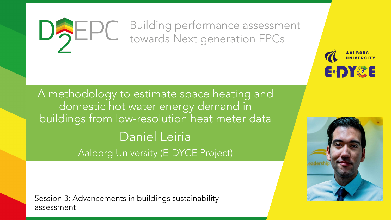#### Building performance assessment DAEPC towards Next generation EPCs

A methodology to estimate space heating and domestic hot water energy demand in buildings from low-resolution heat meter data Daniel Leiria Aalborg University (E-DYCE Project)

Session 3: Advancements in buildings sustainability assessment



**E-DYCE**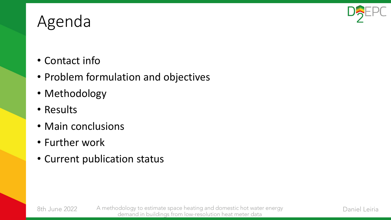

## Agenda

- Contact info
- Problem formulation and objectives
- Methodology
- Results

8th June 2022

- Main conclusions
- Further work
- Current publication status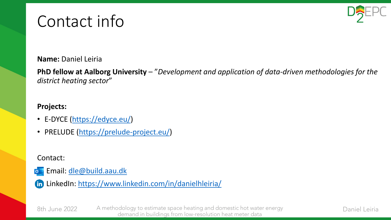## Contact info



**Name:** Daniel Leiria

**PhD fellow at Aalborg University** – "*Development and application of data-driven methodologies for the district heating sector*"

#### **Projects:**

- E-DYCE ([https://edyce.eu/\)](https://edyce.eu/)
- PRELUDE ([https://prelude-project.eu/\)](https://prelude-project.eu/)

Contact:

- Email: [dle@build.aau.dk](mailto:dle@build.aau.dk)  $\bullet$
- LinkedIn: <https://www.linkedin.com/in/danielhleiria/>

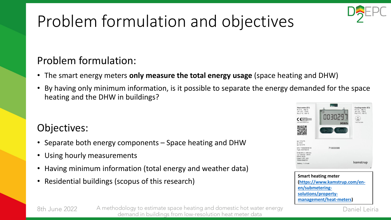# Problem formulation and objectives

#### Problem formulation:

- The smart energy meters **only measure the total energy usage** (space heating and DHW)
- By having only minimum information, is it possible to separate the energy demanded for the space heating and the DHW in buildings?

#### Objectives:

- Separate both energy components Space heating and DHW
- Using hourly measurements
- Having minimum information (total energy and weather data)
- Residential buildings (scopus of this research)





8th June 2022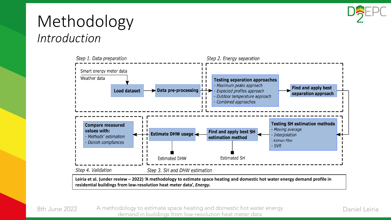

### Methodology *Introduction*



**residential buildings from low-resolution heat meter data',** *Energy***.**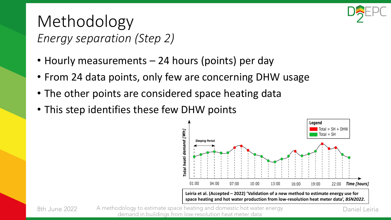

### Methodology *Energy separation (Step 2)*

- Hourly measurements 24 hours (points) per day
- From 24 data points, only few are concerning DHW usage
- The other points are considered space heating data
- This step identifies these few DHW points



8th June 2022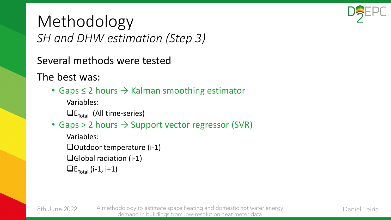

### Methodology *SH and DHW estimation (Step 3)*

Several methods were tested

The best was:

8th June 2022

• Gaps  $\leq$  2 hours  $\rightarrow$  Kalman smoothing estimator

Variables:

 $\Box$ E<sub>Total</sub> (All time-series)

• Gaps > 2 hours  $\rightarrow$  Support vector regressor (SVR)

Variables:

❑Outdoor temperature (i-1)

- ❑Global radiation (i-1)
- $\Box$ E<sub>Total</sub> (i-1, i+1)

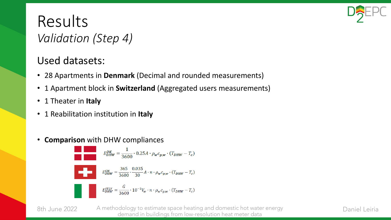

#### Results *Validation (Step 4)*

#### Used datasets:

- 28 Apartments in **Denmark** (Decimal and rounded measurements)
- 1 Apartment block in **Switzerland** (Aggregated users measurements)
- 1 Theater in **Italy**
- 1 Reabilitation institution in **Italy**
- **Comparison** with DHW compliances

$$
E_{DHW}^{DK} = \frac{1}{3600} \cdot 0.25A \cdot \rho_w c_{p,w} \cdot (T_{DHW} - T_c)
$$
  

$$
E_{DHW}^{CH} = \frac{365}{3600} \cdot \frac{0.035}{30} A \cdot n \cdot \rho_w c_{p,w} \cdot (T_{DHW} - T_c)
$$
  

$$
E_{DHW}^{ITLY} = \frac{G}{3600} \cdot 10^{-3} V_w \cdot n \cdot \rho_w c_{p,w} \cdot (T_{DHW} - T_c)
$$

8th June 2022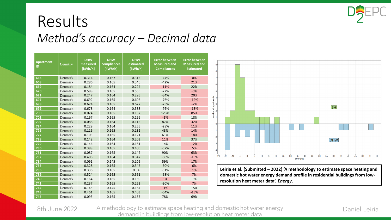

#### Results *Method's accuracy – Decimal data*

| <b>Apartment</b><br>ID | <b>Country</b> | <b>DHW</b><br>measured<br>[kWh/h] | <b>DHW</b><br>compliances<br>[kWh/h] | <b>DHW</b><br>estimated<br>[kWh/h] | <b>Error between</b><br><b>Measured and</b><br><b>Compliances</b> | <b>Error between</b><br><b>Measured and</b><br><b>Estimated</b> |
|------------------------|----------------|-----------------------------------|--------------------------------------|------------------------------------|-------------------------------------------------------------------|-----------------------------------------------------------------|
| 666                    | Denmark        | 0.314                             | 0.167                                | 0.315                              | $-47%$                                                            | 0%                                                              |
| 668                    | Denmark        | 0.286                             | 0.165                                | 0.346                              | $-42%$                                                            | 21%                                                             |
| 669                    | Denmark        | 0.184                             | 0.164                                | 0.224                              | $-11%$                                                            | 22%                                                             |
| 670                    | Denmark        | 0.588                             | 0.165                                | 0.555                              | $-72%$                                                            | $-6%$                                                           |
| 671                    | Denmark        | 0.247                             | 0.164                                | 0.295                              | $-34%$                                                            | 20%                                                             |
| 697                    | Denmark        | 0.692                             | 0.165                                | 0.606                              | $-76%$                                                            | $-12%$                                                          |
| 698                    | Denmark        | 0.674                             | 0.165                                | 0.627                              | $-75%$                                                            | $-7%$                                                           |
| 699                    | Denmark        | 0.678                             | 0.164                                | 0.588                              | $-76%$                                                            | $-13%$                                                          |
| 700                    | Denmark        | 0.074                             | 0.165                                | 0.137                              | 123%                                                              | 85%                                                             |
| 701                    | Denmark        | 0.167                             | 0.165                                | 0.196                              | $-1%$                                                             | 18%                                                             |
| 702                    | Denmark        | 0.088                             | 0.164                                | 0.115                              | 87%                                                               | 32%                                                             |
| 724                    | Denmark        | 0.229                             | 0.164                                | 0.255                              | $-28%$                                                            | 11%                                                             |
| 726                    | Denmark        | 0.116                             | 0.165                                | 0.132                              | 43%                                                               | 14%                                                             |
| $\overline{727}$       | Denmark        | 0.103                             | 0.165                                | 0.121                              | 61%                                                               | 18%                                                             |
| 728                    | Denmark        | 0.148                             | 0.164                                | 0.203                              | 11%                                                               | 37%                                                             |
| 729                    | Denmark        | 0.144                             | 0.164                                | 0.161                              | 14%                                                               | 12%                                                             |
| 730                    | Denmark        | 0.388                             | 0.165                                | 0.406                              | $-57%$                                                            | 5%                                                              |
| 731                    | Denmark        | 0.087                             | 0.165                                | 0.142                              | 90%                                                               | 63%                                                             |
| 732                    | Denmark        | 0.406                             | 0.164                                | 0.347                              | $-60%$                                                            | $-15%$                                                          |
| 734                    | Denmark        | 0.091                             | 0.145                                | 0.106                              | 59%                                                               | 17%                                                             |
| 735                    | Denmark        | 0.328                             | 0.165                                | 0.347                              | $-50%$                                                            | 6%                                                              |
| 736                    | Denmark        | 0.336                             | 0.165                                | 0.34                               | $-51%$                                                            | 1%                                                              |
| 739                    | Denmark        | 0.524                             | 0.165                                | 0.561                              | $-68%$                                                            | 7%                                                              |
| 740                    | Denmark        | 0.164                             | 0.165                                | 0.159                              | 1%                                                                | $-3%$                                                           |
| 741                    | Denmark        | 0.237                             | 0.165                                | 0.253                              | $-30%$                                                            | 7%                                                              |
| 742                    | Denmark        | 0.145                             | 0.145                                | 0.167                              | $-1%$                                                             | 15%                                                             |
| 743                    | Denmark        | 0.461                             | 0.165                                | 0.403                              | $-64%$                                                            | $-13%$                                                          |
| 745                    | Denmark        | 0.093                             | 0.165                                | 0.157                              | 78%                                                               | 69%                                                             |



**Leiria et al. (Submitted – 2022) 'A methodology to estimate space heating and domestic hot water energy demand profile in residential buildings from lowresolution heat meter data',** *Energy***.**

8th June 2022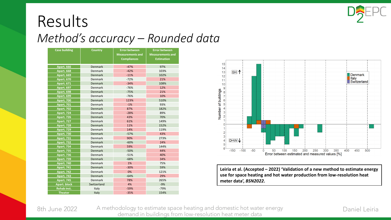

#### Results *Method's accuracy – Rounded data*

| <b>Case building</b> | <b>Country</b> | <b>Error between</b><br><b>Measurements and</b><br><b>Compliances</b> | <b>Error between</b><br><b>Measurements and</b><br><b>Estimation</b> |
|----------------------|----------------|-----------------------------------------------------------------------|----------------------------------------------------------------------|
| <b>Apart. 666</b>    | <b>Denmark</b> | $-47%$                                                                | 97%                                                                  |
| <b>Apart. 668</b>    | Denmark        | $-42%$                                                                | 103%                                                                 |
| <b>Apart. 669</b>    | <b>Denmark</b> | $-11%$                                                                | 102%                                                                 |
| <b>Apart. 670</b>    | Denmark        | $-72%$                                                                | 21%                                                                  |
| <b>Apart. 671</b>    | <b>Denmark</b> | $-34%$                                                                | 108%                                                                 |
| Apart. 697           | <b>Denmark</b> | $-76%$                                                                | 12%                                                                  |
| <b>Apart. 698</b>    | Denmark        | $-75%$                                                                | 21%                                                                  |
| <b>Apart. 699</b>    | Denmark        | $-76%$                                                                | 10%                                                                  |
| <b>Apart. 700</b>    | <b>Denmark</b> | 123%                                                                  | 510%                                                                 |
| <b>Apart. 701</b>    | Denmark        | $-1%$                                                                 | 93%                                                                  |
| <b>Apart. 702</b>    | <b>Denmark</b> | 87%                                                                   | 182%                                                                 |
| <b>Apart. 724</b>    | Denmark        | $-28%$                                                                | 89%                                                                  |
| <b>Apart. 726</b>    | <b>Denmark</b> | 43%                                                                   | 70%                                                                  |
| <b>Apart. 727</b>    | Denmark        | 61%                                                                   | 149%                                                                 |
| <b>Apart. 728</b>    | <b>Denmark</b> | 11%                                                                   | 152%                                                                 |
| <b>Apart. 729</b>    | Denmark        | 14%                                                                   | 119%                                                                 |
| <b>Apart. 730</b>    | <b>Denmark</b> | $-57%$                                                                | 43%                                                                  |
| <b>Apart. 731</b>    | Denmark        | 90%                                                                   | 273%                                                                 |
| <b>Apart. 732</b>    | <b>Denmark</b> | $-60%$                                                                | 24%                                                                  |
| <b>Apart. 734</b>    | Denmark        | 59%                                                                   | 144%                                                                 |
| <b>Apart. 735</b>    | <b>Denmark</b> | $-50%$                                                                | 44%                                                                  |
| <b>Apart. 736</b>    | <b>Denmark</b> | $-51%$                                                                | 40%                                                                  |
| <b>Apart. 739</b>    | Denmark        | $-68%$                                                                | 34%                                                                  |
| <b>Apart. 740</b>    | Denmark        | 1%                                                                    | 75%                                                                  |
| <b>Apart. 741</b>    | <b>Denmark</b> | $-30%$                                                                | 59%                                                                  |
| <b>Apart. 742</b>    | Denmark        | 0%                                                                    | 121%                                                                 |
| <b>Apart. 743</b>    | <b>Denmark</b> | $-64%$                                                                | 29%                                                                  |
| <b>Apart. 745</b>    | Denmark        | 78%                                                                   | 265%                                                                 |
| Apart. block         | Switzerland    | 4%                                                                    | $-9%$                                                                |
| <b>Rehab inst.</b>   | Italy          | $-59%$                                                                | $-79%$                                                               |
| <b>Theater</b>       | Italy          | $-35%$                                                                | 154%                                                                 |



**Leiria et al. (Accepted – 2022) 'Validation of a new method to estimate energy use for space heating and hot water production from low-resolution heat meter data',** *BSN2022***.**

8th June 2022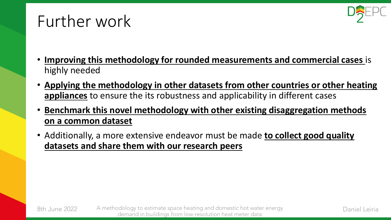### Further work



- **Improving this methodology for rounded measurements and commercial cases** is highly needed
- **Applying the methodology in other datasets from other countries or other heating appliances** to ensure the its robustness and applicability in different cases
- **Benchmark this novel methodology with other existing disaggregation methods on a common dataset**
- Additionally, a more extensive endeavor must be made **to collect good quality datasets and share them with our research peers**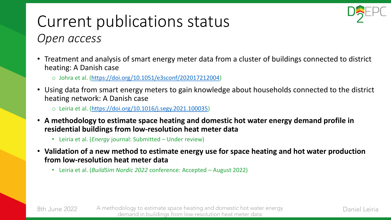

### Current publications status *Open access*

- Treatment and analysis of smart energy meter data from a cluster of buildings connected to district heating: A Danish case
	- o Johra et al. [\(https://doi.org/10.1051/e3sconf/202017212004](https://doi.org/10.1051/e3sconf/202017212004))
- Using data from smart energy meters to gain knowledge about households connected to the district heating network: A Danish case
	- o Leiria et al. ([https://doi.org/10.1016/j.segy.2021.100035\)](https://doi.org/10.1016/j.segy.2021.100035)
- **A methodology to estimate space heating and domestic hot water energy demand profile in residential buildings from low-resolution heat meter data**
	- Leiria et al. (*Energy* journal: Submitted Under review)

8th June 2022

- **Validation of a new method to estimate energy use for space heating and hot water production from low-resolution heat meter data**
	- Leiria et al. (*BuildSim Nordic 2022* conference: Accepted August 2022)